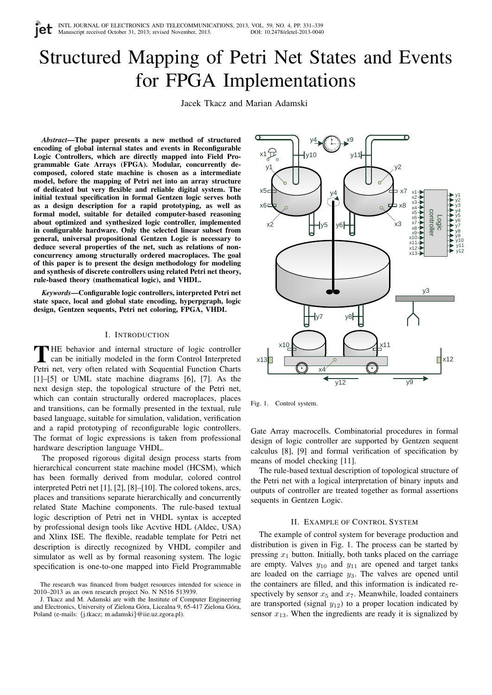# Structured Mapping of Petri Net States and Events for FPGA Implementations

Jacek Tkacz and Marian Adamski

*Abstract*—The paper presents a new method of structured encoding of global internal states and events in Reconfigurable Logic Controllers, which are directly mapped into Field Programmable Gate Arrays (FPGA). Modular, concurrently decomposed, colored state machine is chosen as a intermediate model, before the mapping of Petri net into an array structure of dedicated but very flexible and reliable digital system. The initial textual specification in formal Gentzen logic serves both as a design description for a rapid prototyping, as well as formal model, suitable for detailed computer-based reasoning about optimized and synthesized logic controller, implemented in configurable hardware. Only the selected linear subset from general, universal propositional Gentzen Logic is necessary to deduce several properties of the net, such as relations of nonconcurrency among structurally ordered macroplaces. The goal of this paper is to present the design methodology for modeling and synthesis of discrete controllers using related Petri net theory, rule-based theory (mathematical logic), and VHDL.

*Keywords*—Configurable logic controllers, interpreted Petri net state space, local and global state encoding, hyperpgraph, logic design, Gentzen sequents, Petri net coloring, FPGA, VHDL

#### I. INTRODUCTION

THE behavior and internal structure of logic controller<br>can be initially modeled in the form Control Interpreted<br>Petri net, very often related with Sequential Function Charts **THE behavior and internal structure of logic controller** can be initially modeled in the form Control Interpreted [1]–[5] or UML state machine diagrams [6], [7]. As the next design step, the topological structure of the Petri net, which can contain structurally ordered macroplaces, places and transitions, can be formally presented in the textual, rule based language, suitable for simulation, validation, verification and a rapid prototyping of reconfigurable logic controllers. The format of logic expressions is taken from professional hardware description language VHDL.

The proposed rigorous digital design process starts from hierarchical concurrent state machine model (HCSM), which has been formally derived from modular, colored control interpreted Petri net [1], [2], [8]–[10]. The colored tokens, arcs, places and transitions separate hierarchically and concurrently related State Machine components. The rule-based textual logic description of Petri net in VHDL syntax is accepted by professional design tools like Acvtive HDL (Aldec, USA) and Xlinx ISE. The flexible, readable template for Petri net description is directly recognized by VHDL compiler and simulator as well as by formal reasoning system. The logic specification is one-to-one mapped into Field Programmable



Fig. 1. Control system.

Gate Array macrocells. Combinatorial procedures in formal design of logic controller are supported by Gentzen sequent calculus [8], [9] and formal verification of specification by means of model checking [11].

The rule-based textual description of topological structure of the Petri net with a logical interpretation of binary inputs and outputs of controller are treated together as formal assertions sequents in Gentzen Logic.

## II. EXAMPLE OF CONTROL SYSTEM

The example of control system for beverage production and distribution is given in Fig. 1. The process can be started by pressing  $x_1$  button. Initially, both tanks placed on the carriage are empty. Valves  $y_{10}$  and  $y_{11}$  are opened and target tanks are loaded on the carriage  $y_3$ . The valves are opened until the containers are filled, and this information is indicated respectively by sensor  $x_5$  and  $x_7$ . Meanwhile, loaded containers are transported (signal  $y_{12}$ ) to a proper location indicated by sensor  $x_{13}$ . When the ingredients are ready it is signalized by

The research was financed from budget resources intended for science in 2010–2013 as an own research project No. N N516 513939.

J. Tkacz and M. Adamski are with the Institute of Computer Engineering and Electronics, University of Zielona Góra, Licealna 9, 65-417 Zielona Góra, Poland (e-mails: {j.tkacz; m.adamski}@iie.uz.zgora.pl).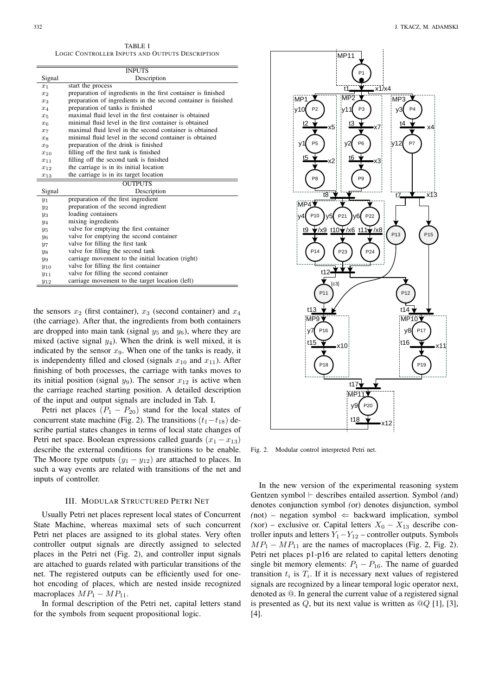TABLE I LOGIC CONTROLLER INPUTS AND OUTPUTS DESCRIPTION

|          | <b>INPUTS</b>                                                  |  |  |
|----------|----------------------------------------------------------------|--|--|
| Signal   | Description                                                    |  |  |
| $x_1$    | start the process                                              |  |  |
| $x_2$    | preparation of ingredients in the first container is finished  |  |  |
| $x_3$    | preparation of ingredients in the second container is finished |  |  |
| $x_4$    | preparation of tanks is finished                               |  |  |
| $x_{5}$  | maximal fluid level in the first container is obtained         |  |  |
| $x_{6}$  | minimal fluid level in the first container is obtained         |  |  |
| $x_7$    | maximal fluid level in the second container is obtained        |  |  |
| $x_{8}$  | minimal fluid level in the second container is obtained        |  |  |
| $x_9$    | preparation of the drink is finished                           |  |  |
| $x_{10}$ | filling off the first tank is finished                         |  |  |
| $x_{11}$ | filling off the second tank is finished                        |  |  |
| $x_{12}$ | the carriage is in its initial location                        |  |  |
| $x_{13}$ | the carriage is in its target location                         |  |  |
|          | <b>OUTPUTS</b>                                                 |  |  |
| Signal   | Description                                                    |  |  |
| $y_1$    | preparation of the first ingredient                            |  |  |
| $y_2$    | preparation of the second ingredient                           |  |  |
| $y_3$    | loading containers                                             |  |  |
| $y_4$    | mixing ingredients                                             |  |  |
| $y_5$    | valve for emptying the first container                         |  |  |
| У6       | valve for emptying the second container                        |  |  |
| $y_7$    | valve for filling the first tank                               |  |  |
| $y_8$    | valve for filling the second tank                              |  |  |
| $y_9$    | carriage movement to the initial location (right)              |  |  |
| $y_{10}$ | valve for filling the first container                          |  |  |
| $y_{11}$ | valve for filling the second container                         |  |  |
| $y_{12}$ | carriage movement to the target location (left)                |  |  |

the sensors  $x_2$  (first container),  $x_3$  (second container) and  $x_4$ (the carriage). After that, the ingredients from both containers are dropped into main tank (signal  $y_5$  and  $y_6$ ), where they are mixed (active signal  $y_4$ ). When the drink is well mixed, it is indicated by the sensor  $x_9$ . When one of the tanks is ready, it is independenty filled and closed (signals  $x_{10}$  and  $x_{11}$ ). After finishing of both processes, the carriage with tanks moves to its initial position (signal  $y_9$ ). The sensor  $x_{12}$  is active when the carriage reached starting position. A detailed description of the input and output signals are included in Tab. I.

Petri net places  $(P_1 - P_{20})$  stand for the local states of concurrent state machine (Fig. 2). The transitions  $(t_1-t_{18})$  describe partial states changes in terms of local state changes of Petri net space. Boolean expressions called guards  $(x_1 - x_{13})$ describe the external conditions for transitions to be enable. The Moore type outputs  $(y_1 - y_{12})$  are attached to places. In such a way events are related with transitions of the net and inputs of controller.

#### III. MODULAR STRUCTURED PETRI NET

Usually Petri net places represent local states of Concurrent State Machine, whereas maximal sets of such concurrent Petri net places are assigned to its global states. Very often controller output signals are directly assigned to selected places in the Petri net (Fig. 2), and controller input signals are attached to guards related with particular transitions of the net. The registered outputs can be efficiently used for onehot encoding of places, which are nested inside recognized macroplaces  $MP_1 - MP_{11}$ .

In formal description of the Petri net, capital letters stand for the symbols from sequent propositional logic.



Fig. 2. Modular control interpreted Petri net.

In the new version of the experimental reasoning system Gentzen symbol  $\vdash$  describes entailed assertion. Symbol *(and)* denotes conjunction symbol *(*or) denotes disjunction, symbol  $(not)$  – negation symbol  $\Leftarrow$  backward implication, symbol  $(xor)$  – exclusive or. Capital letters  $X_0 - X_{13}$  describe controller inputs and letters  $Y_1 - Y_{12}$  – controller outputs. Symbols  $MP_1 - MP_{11}$  are the names of macroplaces (Fig. 2, Fig. 2). Petri net places p1-p16 are related to capital letters denoting single bit memory elements:  $P_1 - P_{16}$ . The name of guarded transition  $t_i$  is  $T_i$ . If it is necessary next values of registered signals are recognized by a linear temporal logic operator next, denoted as @. In general the current value of a registered signal is presented as Q, but its next value is written as  $\mathcal{Q}_Q$  [1], [3], [4].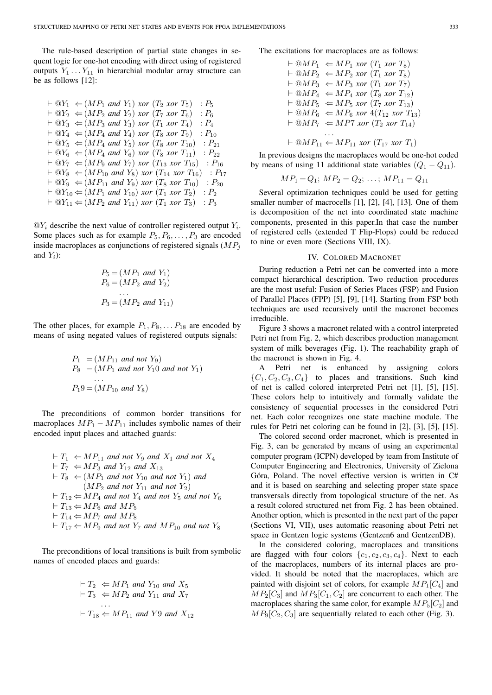The rule-based description of partial state changes in sequent logic for one-hot encoding with direct using of registered outputs  $Y_1 \ldots Y_{11}$  in hierarchial modular array structure can be as follows [12]:

$$
\vdash @Y_1 \Leftarrow (MP_1 \text{ and } Y_1) \text{ xor } (T_2 \text{ xor } T_5) : P_5 \vdash @Y_2 \Leftarrow (MP_2 \text{ and } Y_2) \text{ xor } (T_7 \text{ xor } T_6) : P_6 \vdash @Y_3 \Leftarrow (MP_3 \text{ and } Y_3) \text{ xor } (T_1 \text{ xor } T_4) : P_4 \vdash @Y_4 \Leftarrow (MP_4 \text{ and } Y_4) \text{ xor } (T_8 \text{ xor } T_9) : P_{10} \vdash @Y_5 \Leftarrow (MP_4 \text{ and } Y_5) \text{ xor } (T_8 \text{ xor } T_{10}) : P_{21} \vdash @Y_6 \Leftarrow (MP_4 \text{ and } Y_6) \text{ xor } (T_8 \text{ xor } T_{11}) : P_{22} \vdash @Y_7 \Leftarrow (MP_9 \text{ and } Y_7) \text{ xor } (T_{13} \text{ xor } T_{15}) : P_{16} \vdash @Y_8 \Leftarrow (MP_{10} \text{ and } Y_8) \text{ xor } (T_1 \text{ xor } T_{16}) : P_{17} \vdash @Y_9 \Leftarrow (MP_{11} \text{ and } Y_9) \text{ xor } (T_8 \text{ xor } T_{10}) : P_{20} \vdash @Y_{10} \Leftarrow (MP_1 \text{ and } Y_{10}) \text{ xor } (T_1 \text{ xor } T_2) : P_2 \vdash @Y_{11} \Leftarrow (MP_2 \text{ and } Y_{11}) \text{ xor } (T_1 \text{ xor } T_3) : P_3
$$

 $\mathbb{Q}Y_i$  describe the next value of controller registered output  $Y_i$ . Some places such as for example  $P_5, P_6, \ldots, P_3$  are encoded inside macroplaces as conjunctions of registered signals  $(MP_j)$ and  $Y_i$ ):

$$
P_5 = (MP_1 \text{ and } Y_1)
$$
  
\n
$$
P_6 = (MP_2 \text{ and } Y_2)
$$
  
\n...  
\n
$$
P_3 = (MP_2 \text{ and } Y_{11})
$$

The other places, for example  $P_1, P_8, \ldots, P_{18}$  are encoded by means of using negated values of registered outputs signals:

$$
P_1 = (MP_{11} \text{ and not } Y_9)
$$
  
\n
$$
P_8 = (MP_1 \text{ and not } Y_10 \text{ and not } Y_1)
$$
  
\n...  
\n
$$
P_19 = (MP_{10} \text{ and } Y_8)
$$

The preconditions of common border transitions for macroplaces  $MP_1 - MP_{11}$  includes symbolic names of their encoded input places and attached guards:

$$
\vdash T_1 \Leftarrow MP_{11} \text{ and not } Y_9 \text{ and } X_1 \text{ and not } X_4
$$
\n
$$
\vdash T_7 \Leftarrow MP_3 \text{ and } Y_{12} \text{ and } X_{13}
$$
\n
$$
\vdash T_8 \Leftarrow (MP_1 \text{ and not } Y_{10} \text{ and not } Y_1) \text{ and}
$$
\n
$$
(MP_2 \text{ and not } Y_{11} \text{ and not } Y_2)
$$
\n
$$
\vdash T_{12} \Leftarrow MP_4 \text{ and not } Y_4 \text{ and not } Y_5 \text{ and not } Y_6
$$
\n
$$
\vdash T_{13} \Leftarrow MP_6 \text{ and } MP_5
$$
\n
$$
\vdash T_{14} \Leftarrow MP_7 \text{ and } MP_8
$$
\n
$$
\vdash T_{17} \Leftarrow MP_9 \text{ and not } Y_7 \text{ and } MP_{10} \text{ and not } Y_8
$$

The preconditions of local transitions is built from symbolic names of encoded places and guards:

$$
\vdash T_2 \Leftarrow MP_1 \text{ and } Y_{10} \text{ and } X_5
$$
  
\n
$$
\vdash T_3 \Leftarrow MP_2 \text{ and } Y_{11} \text{ and } X_7
$$
  
\n...  
\n
$$
\vdash T_{18} \Leftarrow MP_{11} \text{ and } Y9 \text{ and } X_{12}
$$

The excitations for macroplaces are as follows:

$$
\vdash \text{@} MP_1 \Leftarrow MP_1 \text{ xor } (T_1 \text{ xor } T_8)
$$
\n
$$
\vdash \text{@} MP_2 \Leftarrow MP_2 \text{ xor } (T_1 \text{ xor } T_8)
$$
\n
$$
\vdash \text{@} MP_3 \Leftarrow MP_3 \text{ xor } (T_1 \text{ xor } T_7)
$$
\n
$$
\vdash \text{@} MP_4 \Leftarrow MP_4 \text{ xor } (T_8 \text{ xor } T_{12})
$$
\n
$$
\vdash \text{@} MP_5 \Leftarrow MP_5 \text{ xor } (T_7 \text{ xor } T_{13})
$$
\n
$$
\vdash \text{@} MP_6 \Leftarrow MP_6 \text{ xor } 4(T_{12} \text{ xor } T_{13})
$$
\n
$$
\vdash \text{@} MP_7 \Leftarrow MP7 \text{ xor } (T_2 \text{ xor } T_{14})
$$
\n
$$
\cdots
$$
\n
$$
\vdots
$$
\n
$$
\text{@} MP_{11} \Leftarrow MP_{11} \text{ xor } (T_{17} \text{ xor } T_1)
$$

In previous designs the macroplaces would be one-hot coded by means of using 11 additional state variables  $(Q_1 - Q_{11})$ .

$$
MP_1 = Q_1; MP_2 = Q_2; \ldots; MP_{11} = Q_{11}
$$

Several optimization techniques could be used for getting smaller number of macrocells [1], [2], [4], [13]. One of them is decomposition of the net into coordinated state machine components, presented in this paper.In that case the number of registered cells (extended T Flip-Flops) could be reduced to nine or even more (Sections VIII, IX).

## IV. COLORED MACRONET

During reduction a Petri net can be converted into a more compact hierarchical description. Two reduction procedures are the most useful: Fusion of Series Places (FSP) and Fusion of Parallel Places (FPP) [5], [9], [14]. Starting from FSP both techniques are used recursively until the macronet becomes irreducible.

Figure 3 shows a macronet related with a control interpreted Petri net from Fig. 2, which describes production management system of milk beverages (Fig. 1). The reachability graph of the macronet is shown in Fig. 4.

A Petri net is enhanced by assigning colors  ${C_1, C_2, C_3, C_4}$  to places and transitions. Such kind of net is called colored interpreted Petri net [1], [5], [15]. These colors help to intuitively and formally validate the consistency of sequential processes in the considered Petri net. Each color recognizes one state machine module. The rules for Petri net coloring can be found in [2], [3], [5], [15].

The colored second order macronet, which is presented in Fig. 3, can be generated by means of using an experimental computer program (ICPN) developed by team from Institute of Computer Engineering and Electronics, University of Zielona Góra, Poland. The novel effective version is written in C# and it is based on searching and selecting proper state space transversals directly from topological structure of the net. As a result colored structured net from Fig. 2 has been obtained. Another option, which is presented in the next part of the paper (Sections VI, VII), uses automatic reasoning about Petri net space in Gentzen logic systems (Gentzen6 and GentzenDB).

In the considered coloring, macroplaces and transitions are flagged with four colors  $\{c_1, c_2, c_3, c_4\}$ . Next to each of the macroplaces, numbers of its internal places are provided. It should be noted that the macroplaces, which are painted with disjoint set of colors, for example  $MP_1[C_4]$  and  $MP_2[C_3]$  and  $MP_3[C_1, C_2]$  are concurrent to each other. The macroplaces sharing the same color, for example  $MP_5[C_2]$  and  $MP_9[C_2, C_3]$  are sequentially related to each other (Fig. 3).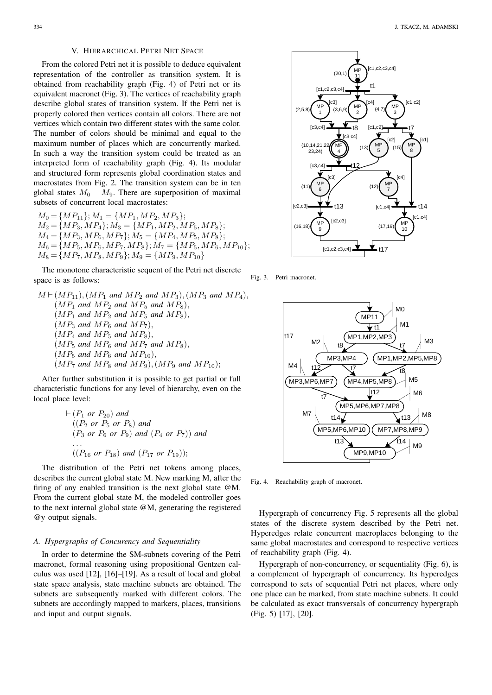# V. HIERARCHICAL PETRI NET SPACE

From the colored Petri net it is possible to deduce equivalent representation of the controller as transition system. It is obtained from reachability graph (Fig. 4) of Petri net or its equivalent macronet (Fig. 3). The vertices of reachability graph describe global states of transition system. If the Petri net is properly colored then vertices contain all colors. There are not vertices which contain two different states with the same color. The number of colors should be minimal and equal to the maximum number of places which are concurrently marked. In such a way the transition system could be treated as an interpreted form of reachability graph (Fig. 4). Its modular and structured form represents global coordination states and macrostates from Fig. 2. The transition system can be in ten global states  $M_0 - M_9$ . There are superposition of maximal subsets of concurrent local macrostates:

 $M_0 = \{MP_{11}\}; M_1 = \{MP_1, MP_2, MP_3\};$  $M_2 = \{MP_3, MP_4\}; M_3 = \{MP_1, MP_2, MP_5, MP_8\};$  $M_4 = \{MP_3, MP_6, MP_7\}; M_5 = \{MP_4, MP_5, MP_8\};$  $M_6 = \{MP_5, MP_6, MP_7, MP_8\}; M_7 = \{MP_5, MP_6, MP_{10}\};$  $M_8 = \{MP_7, MP_8, MP_9\}; M_9 = \{MP_9, MP_{10}\}$ 

The monotone characteristic sequent of the Petri net discrete space is as follows:

 $M \vdash (MP_{11}), (MP_1 \text{ and } MP_2 \text{ and } MP_3), (MP_3 \text{ and } MP_4),$  $(MP_1$  *and*  $MP_2$  *and*  $MP_5$  *and*  $MP_8$ *)*,  $(MP_1$  *and*  $MP_2$  *and*  $MP_5$  *and*  $MP_8$ *)*,  $(MP_3$  *and*  $MP_6$  *and*  $MP_7$ *)*,  $(MP_4$  *and*  $MP_5$  *and*  $MP_8$ *)*,  $(MP_5$  and  $MP_6$  and  $MP_7$  and  $MP_8$ ),  $(MP_5 \text{ and } MP_6 \text{ and } MP_{10}),$  $(MP_7 \text{ and } MP_8 \text{ and } MP_9), (MP_9 \text{ and } MP_{10});$ 

After further substitution it is possible to get partial or full characteristic functions for any level of hierarchy, even on the local place level:

$$
\vdash (P_1 \text{ or } P_{20}) \text{ and}
$$
  
\n
$$
((P_2 \text{ or } P_5 \text{ or } P_8) \text{ and}
$$
  
\n
$$
(P_3 \text{ or } P_6 \text{ or } P_9) \text{ and } (P_4 \text{ or } P_7)) \text{ and}
$$
  
\n...  
\n
$$
((P_{16} \text{ or } P_{18}) \text{ and } (P_{17} \text{ or } P_{19}));
$$

The distribution of the Petri net tokens among places, describes the current global state M. New marking M, after the firing of any enabled transition is the next global state @M. From the current global state M, the modeled controller goes to the next internal global state @M, generating the registered @y output signals.

## *A. Hypergraphs of Concurency and Sequentiality*

In order to determine the SM-subnets covering of the Petri macronet, formal reasoning using propositional Gentzen calculus was used [12], [16]–[19]. As a result of local and global state space analysis, state machine subnets are obtained. The subnets are subsequently marked with different colors. The subnets are accordingly mapped to markers, places, transitions and input and output signals.



Fig. 3. Petri macronet.



Fig. 4. Reachability graph of macronet.

Hypergraph of concurrency Fig. 5 represents all the global states of the discrete system described by the Petri net. Hyperedges relate concurrent macroplaces belonging to the same global macrostates and correspond to respective vertices of reachability graph (Fig. 4).

Hypergraph of non-concurrency, or sequentiality (Fig. 6), is a complement of hypergraph of concurrency. Its hyperedges correspond to sets of sequential Petri net places, where only one place can be marked, from state machine subnets. It could be calculated as exact transversals of concurrency hypergraph (Fig. 5) [17], [20].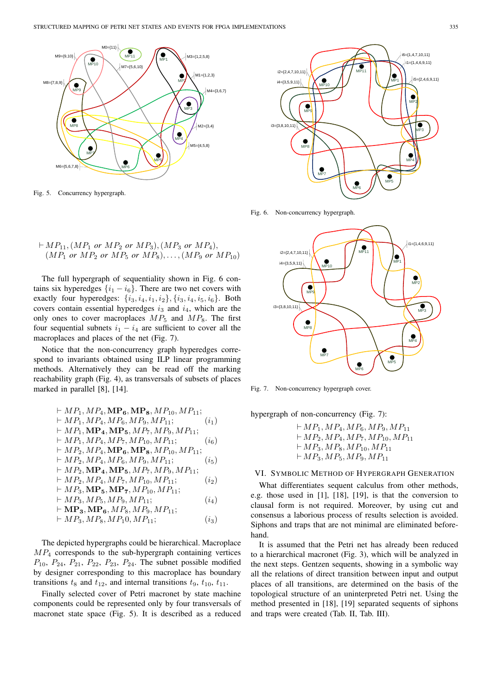

Fig. 5. Concurrency hypergraph.

$$
\vdash MP_{11}, (MP_{1} \text{ or } MP_{2} \text{ or } MP_{3}), (MP_{3} \text{ or } MP_{4}),(MP_{1} \text{ or } MP_{2} \text{ or } MP_{5} \text{ or } MP_{8}), \dots, (MP_{9} \text{ or } MP_{10})
$$

The full hypergraph of sequentiality shown in Fig. 6 contains six hyperedges  $\{i_1 - i_6\}$ . There are two net covers with exactly four hyperedges:  $\{i_3, i_4, i_1, i_2\}, \{i_3, i_4, i_5, i_6\}$ . Both covers contain essential hyperedges  $i_3$  and  $i_4$ , which are the only ones to cover macroplaces  $MP_5$  and  $MP_8$ . The first four sequential subnets  $i_1 - i_4$  are sufficient to cover all the macroplaces and places of the net (Fig. 7).

Notice that the non-concurrency graph hyperedges correspond to invariants obtained using ILP linear programming methods. Alternatively they can be read off the marking reachability graph (Fig. 4), as transversals of subsets of places marked in parallel [8], [14].

$$
+ MP_1, MP_4, MP_6, MP_8, MP_{10}, MP_{11};
$$
  
\n
$$
+ MP_1, MP_4, MP_6, MP_9, MP_{11};
$$
  
\n
$$
+ MP_1, MP_4, MP_5, MP_7, MP_9, MP_{11};
$$
  
\n
$$
+ MP_1, MP_4, MP_7, MP_{10}, MP_{11};
$$
  
\n
$$
+ MP_2, MP_4, MP_6, MP_8, MP_{10}, MP_{11};
$$
  
\n
$$
+ MP_2, MP_4, MP_6, MP_8, MP_{11};
$$
  
\n
$$
+ MP_2, MP_4, MP_6, MP_9, MP_{11};
$$
  
\n
$$
+ MP_2, MP_4, MP_5, MP_7, MP_9, MP_{11};
$$
  
\n
$$
+ MP_2, MP_4, MP_7, MP_{10}, MP_{11};
$$
  
\n
$$
+ MP_3, MP_5, MP_7, MP_{10}, MP_{11};
$$
  
\n
$$
+ MP_3, MP_6, MP_9, MP_{11};
$$
  
\n
$$
+ MP_3, MP_6, MP_8, MP_9, MP_{11};
$$
  
\n
$$
+ MP_3, MP_8, MP_{10}, MP_{11};
$$
  
\n
$$
+ MP_3, MP_8, MP_{10}, MP_{11};
$$
  
\n
$$
(i_3)
$$

The depicted hypergraphs could be hierarchical. Macroplace  $MP<sub>4</sub>$  corresponds to the sub-hypergraph containing vertices  $P_{10}$ ,  $P_{24}$ ,  $P_{21}$ ,  $P_{22}$ ,  $P_{23}$ ,  $P_{24}$ . The subnet possible modified by designer corresponding to this macroplace has boundary transitions  $t_8$  and  $t_{12}$ , and internal transitions  $t_9$ ,  $t_{10}$ ,  $t_{11}$ .

Finally selected cover of Petri macronet by state machine components could be represented only by four transversals of macronet state space (Fig. 5). It is described as a reduced



Fig. 6. Non-concurrency hypergraph.



Fig. 7. Non-concurrency hypergraph cover.

hypergraph of non-concurrency (Fig. 7):

 $\vdash MP_1, MP_4, MP_6, MP_9, MP_{11}$  $\vdash MP_2, MP_4, MP_7, MP_{10}, MP_{11}$  $\vdash MP_3, MP_8, MP_{10}, MP_{11}$  $\vdash MP_3, MP_5, MP_9, MP_{11}$ 

# VI. SYMBOLIC METHOD OF HYPERGRAPH GENERATION

What differentiates sequent calculus from other methods, e.g. those used in [1], [18], [19], is that the conversion to clausal form is not required. Moreover, by using cut and consensus a laborious process of results selection is avoided. Siphons and traps that are not minimal are eliminated beforehand.

It is assumed that the Petri net has already been reduced to a hierarchical macronet (Fig. 3), which will be analyzed in the next steps. Gentzen sequents, showing in a symbolic way all the relations of direct transition between input and output places of all transitions, are determined on the basis of the topological structure of an uninterpreted Petri net. Using the method presented in [18], [19] separated sequents of siphons and traps were created (Tab. II, Tab. III).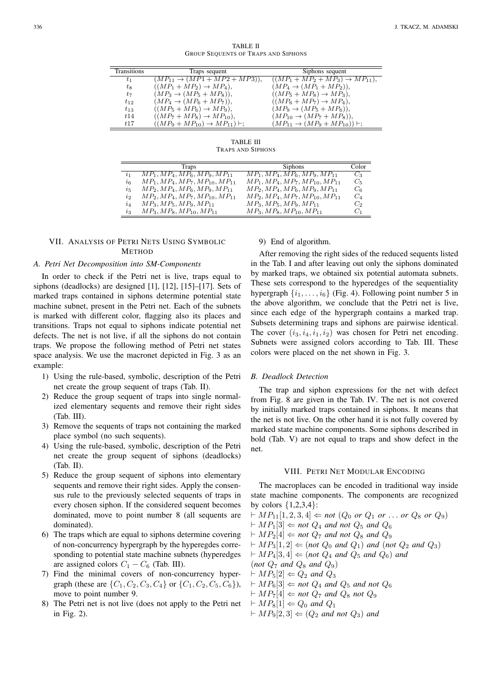TABLE II GROUP SEQUENTS OF TRAPS AND SIPHONS

| <b>Transitions</b> | Traps sequent                                    | Siphons sequent                                  |
|--------------------|--------------------------------------------------|--------------------------------------------------|
| $t_1$              | $(MP_{11} \rightarrow (MP1 + MP2 + MP3)),$       | $((MP_1 + MP_2 + MP_3) \rightarrow MP_{11}),$    |
| $t_8$              | $((MP_1 + MP_2) \rightarrow MP_4),$              | $(MP_4 \rightarrow (MP_1 + MP_2)),$              |
| $t_7$              | $(MP_3 \rightarrow (MP_5 + MP_8)),$              | $((MP5 + MP8) \rightarrow MP3),$                 |
| $t_{12}$           | $(MP_4 \rightarrow (MP_6 + MP_7)),$              | $((MP_6 + MP_7) \rightarrow MP_4),$              |
| $t_{13}$           | $((MP_5 + MP_6) \rightarrow MP_9),$              | $(MP_9 \rightarrow (MP_5 + MP_6)),$              |
| t14                | $((MP_7 + MP_8) \rightarrow MP_{10}),$           | $(MP_{10} \rightarrow (MP_7 + MP_8)),$           |
| t17                | $((MP_9 + MP_{10}) \rightarrow MP_{11}) \vdash;$ | $(MP_{11} \rightarrow (MP_9 + MP_{10})) \vdash;$ |
|                    |                                                  |                                                  |

TABLE III TRAPS AND SIPHONS

|                             | Traps                                | <b>Siphons</b>                       | Color |
|-----------------------------|--------------------------------------|--------------------------------------|-------|
| $\overline{i}$ <sub>1</sub> | $MP_1, MP_4, MP_6, MP_9, MP_{11}$    | $MP_1, MP_4, MP_6, MP_9, MP_{11}$    | $C_3$ |
| i <sub>6</sub>              | $MP_1, MP_4, MP_7, MP_{10}, MP_{11}$ | $MP_1, MP_4, MP_7, MP_{10}, MP_{11}$ | $C_5$ |
| $i_{5}$                     | $MP_2, MP_4, MP_6, MP_9, MP_{11}$    | $MP_2, MP_4, MP_6, MP_9, MP_{11}$    | $C_6$ |
| $\dot{i}$                   | $MP_2, MP_4, MP_7, MP_{10}, MP_{11}$ | $MP_2, MP_4, MP_7, MP_{10}, MP_{11}$ | $C_4$ |
| $i_4$                       | $MP_3, MP_5, MP_9, MP_{11}$          | $MP_3, MP_5, MP_9, MP_{11}$          | C,    |
| $i_3$                       | $MP_3, MP_8, MP_{10}, MP_{11}$       | $MP_3, MP_8, MP_{10}, MP_{11}$       | $C_1$ |

# VII. ANALYSIS OF PETRI NETS USING SYMBOLIC **METHOD**

## *A. Petri Net Decomposition into SM-Components*

In order to check if the Petri net is live, traps equal to siphons (deadlocks) are designed [1], [12], [15]–[17]. Sets of marked traps contained in siphons determine potential state machine subnet, present in the Petri net. Each of the subnets is marked with different color, flagging also its places and transitions. Traps not equal to siphons indicate potential net defects. The net is not live, if all the siphons do not contain traps. We propose the following method of Petri net states space analysis. We use the macronet depicted in Fig. 3 as an example:

- 1) Using the rule-based, symbolic, description of the Petri net create the group sequent of traps (Tab. II).
- 2) Reduce the group sequent of traps into single normalized elementary sequents and remove their right sides (Tab. III).
- 3) Remove the sequents of traps not containing the marked place symbol (no such sequents).
- 4) Using the rule-based, symbolic, description of the Petri net create the group sequent of siphons (deadlocks) (Tab. II).
- 5) Reduce the group sequent of siphons into elementary sequents and remove their right sides. Apply the consensus rule to the previously selected sequents of traps in every chosen siphon. If the considered sequent becomes dominated, move to point number 8 (all sequents are dominated).
- 6) The traps which are equal to siphons determine covering of non-concurrency hypergraph by the hyperegdes corresponding to potential state machine subnets (hyperedges are assigned colors  $C_1 - C_6$  (Tab. III).
- 7) Find the minimal covers of non-concurrency hypergraph (these are  $\{C_1, C_2, C_3, C_4\}$  or  $\{C_1, C_2, C_5, C_6\}$ ), move to point number 9.
- 8) The Petri net is not live (does not apply to the Petri net in Fig. 2).

9) End of algorithm.

After removing the right sides of the reduced sequents listed in the Tab. I and after leaving out only the siphons dominated by marked traps, we obtained six potential automata subnets. These sets correspond to the hyperedges of the sequentiality hypergraph  $\{i_1, \ldots, i_6\}$  (Fig. 4). Following point number 5 in the above algorithm, we conclude that the Petri net is live, since each edge of the hypergraph contains a marked trap. Subsets determining traps and siphons are pairwise identical. The cover  $(i_3, i_4, i_1, i_2)$  was chosen for Petri net encoding. Subnets were assigned colors according to Tab. III. These colors were placed on the net shown in Fig. 3.

# *B. Deadlock Detection*

The trap and siphon expressions for the net with defect from Fig. 8 are given in the Tab. IV. The net is not covered by initially marked traps contained in siphons. It means that the net is not live. On the other hand it is not fully covered by marked state machine components. Some siphons described in bold (Tab. V) are not equal to traps and show defect in the net.

### VIII. PETRI NET MODULAR ENCODING

The macroplaces can be encoded in traditional way inside state machine components. The components are recognized by colors  ${1,2,3,4}$ :

 $M P_{11}[1, 2, 3, 4] \leftarrow not (Q_0 \text{ or } Q_1 \text{ or } ... \text{ or } Q_8 \text{ or } Q_9)$ 

- $\vdash MP_1[3] \Leftarrow not Q_4$  *and not*  $Q_5$  *and*  $Q_6$
- $\vdash MP_2[4] \Leftarrow$  *not*  $Q_7$  *and not*  $Q_8$  *and*  $Q_9$
- $M\vdash MP_3[1, 2] \Leftarrow (not Q_0 and Q_1)$  *and* (*not*  $Q_2$  *and*  $Q_3$ )
- $M\vdash MP_4[3, 4] \Leftarrow$  (not  $Q_4$  and  $Q_5$  and  $Q_6$ ) and
- (*not*  $Q_7$  *and*  $Q_8$  *and*  $Q_9$ )
- $\vdash MP_5[2] \Leftarrow Q_2$  *and*  $Q_3$
- $MPR_6[3] \leftarrow not Q_4$  *and*  $Q_5$  *and not*  $Q_6$
- $\vdash MP_7[4] \Leftarrow not Q_7$  *and*  $Q_8$  *not*  $Q_9$
- $\vdash MP_8[1] \Leftarrow Q_0$  *and*  $Q_1$
- $\vdash MP_9[2, 3] \Leftarrow (Q_2 \text{ and not } Q_3) \text{ and}$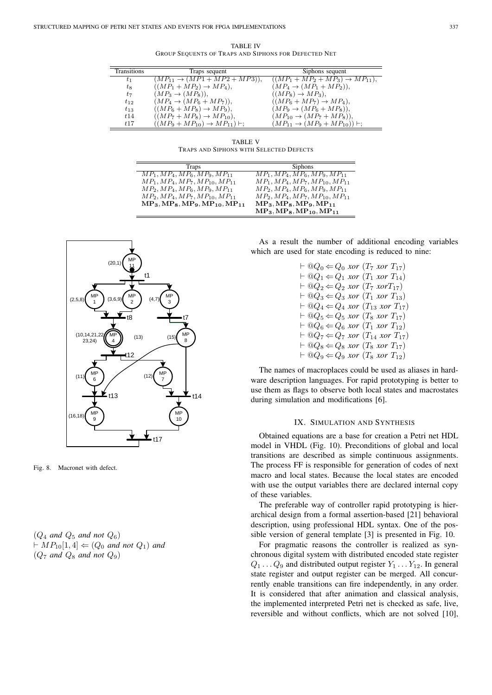TABLE IV GROUP SEQUENTS OF TRAPS AND SIPHONS FOR DEFECTED NET

| Transitions | Traps sequent                                    | Siphons sequent                                  |
|-------------|--------------------------------------------------|--------------------------------------------------|
| $t_1$       | $(MP_{11} \rightarrow (MP1 + MP2 + MP3)),$       | $((MP_1 + MP_2 + MP_3) \rightarrow MP_{11}),$    |
| $t_{8}$     | $((MP_1 + MP_2) \rightarrow MP_4),$              | $(MP_4 \rightarrow (MP_1 + MP_2)),$              |
| $t_7$       | $(MP_3 \rightarrow (MP_8)),$                     | $((MP_8) \rightarrow MP_3),$                     |
| $t_{12}$    | $(MP_4 \rightarrow (MP_6 + MP_7)),$              | $((MP_6 + MP_7) \rightarrow MP_4),$              |
| $t_{13}$    | $((MP_6 + MP_8) \rightarrow MP_9),$              | $(MP_9 \rightarrow (MP_6 + MP_8)),$              |
| t14         | $((MP7 + MP8) \rightarrow MP10),$                | $(MP_{10} \to (MP_7 + MP_8)),$                   |
| t17         | $((MP_9 + MP_{10}) \rightarrow MP_{11}) \vdash;$ | $(MP_{11} \rightarrow (MP_9 + MP_{10})) \vdash;$ |

TABLE V TRAPS AND SIPHONS WITH SELECTED DEFECTS

| Traps                                | <b>Siphons</b>                       |
|--------------------------------------|--------------------------------------|
| $MP_1, MP_4, MP_6, MP_9, MP_{11}$    | $MP_1, MP_4, MP_6, MP_9, MP_{11}$    |
| $MP_1, MP_4, MP_7, MP_{10}, MP_{11}$ | $MP_1, MP_4, MP_7, MP_{10}, MP_{11}$ |
| $MP_2, MP_4, MP_6, MP_9, MP_{11}$    | $MP_2, MP_4, MP_6, MP_9, MP_{11}$    |
| $MP_2, MP_4, MP_7, MP_{10}, MP_{11}$ | $MP_2, MP_4, MP_7, MP_{10}, MP_{11}$ |
| $MP_3, MP_8, MP_9, MP_{10}, MP_{11}$ | $MP_3, MP_8, MP_9, MP_{11}$          |
|                                      | $MP_3, MP_8, MP_{10}, MP_{11}$       |



Fig. 8. Macronet with defect.

 $(Q_4$  *and*  $Q_5$  *and not*  $Q_6$ )  $M\vdash MP_{10}[1, 4] \Leftarrow (Q_0 \text{ and not } Q_1) \text{ and}$  $(Q_7 \text{ and } Q_8 \text{ and not } Q_9)$ 

As a result the number of additional encoding variables which are used for state encoding is reduced to nine:

> $\vdash \textcircled{a} Q_0 \Leftarrow Q_0$  *xor* (T<sub>7</sub> *xor* T<sub>17</sub>)  $\vdash \textcircled{a} Q_1 \Leftarrow Q_1$  *xor*  $(T_1$  *xor*  $T_{14}$ )  $\vdash \textcircled{Q}_2 \Leftarrow Q_2$  *xor* (T<sub>7</sub> *xor*T<sub>17</sub>)  $\vdash \textcircled{a} Q_3 \Leftarrow Q_3$  *xor* ( $T_1$  *xor*  $T_{13}$ )  $\vdash \textcircled{a} Q_4 \Leftarrow Q_4$  *xor* ( $T_{13}$  *xor*  $T_{17}$ )  $\vdash \textcircled{a} Q_5 \Leftarrow Q_5$  *xor* (T<sub>8</sub> *xor* T<sub>17</sub>)  $\vdash \textcircled{a} Q_6 \Leftarrow Q_6$  *xor* (T<sub>1</sub> *xor* T<sub>12</sub>)  $\vdash \textcircled{a} Q_7 \Leftarrow Q_7$  *xor* (T<sub>14</sub> *xor* T<sub>17</sub>)  $\vdash \textcircled{a} Q_8 \Leftarrow Q_8$  *xor* (T<sub>8</sub> *xor* T<sub>17</sub>)  $\vdash \textcircled{Q}_9 \Leftarrow Q_9$  *xor* (T<sub>8</sub> *xor* T<sub>12</sub>)

The names of macroplaces could be used as aliases in hardware description languages. For rapid prototyping is better to use them as flags to observe both local states and macrostates during simulation and modifications [6].

## IX. SIMULATION AND SYNTHESIS

Obtained equations are a base for creation a Petri net HDL model in VHDL (Fig. 10). Preconditions of global and local transitions are described as simple continuous assignments. The process FF is responsible for generation of codes of next macro and local states. Because the local states are encoded with use the output variables there are declared internal copy of these variables.

The preferable way of controller rapid prototyping is hierarchical design from a formal assertion-based [21] behavioral description, using professional HDL syntax. One of the possible version of general template [3] is presented in Fig. 10.

For pragmatic reasons the controller is realized as synchronous digital system with distributed encoded state register  $Q_1 \ldots Q_9$  and distributed output register  $Y_1 \ldots Y_{12}$ . In general state register and output register can be merged. All concurrently enable transitions can fire independently, in any order. It is considered that after animation and classical analysis, the implemented interpreted Petri net is checked as safe, live, reversible and without conflicts, which are not solved [10],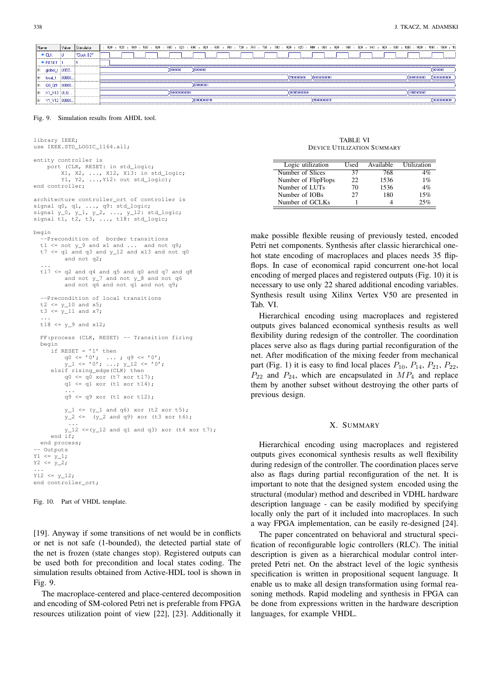|                | F                                                                |                                                                   |                            |  |
|----------------|------------------------------------------------------------------|-------------------------------------------------------------------|----------------------------|--|
|                |                                                                  | (0000000<br>1000000                                               | (0010000                   |  |
| 100000         |                                                                  | 11100000000<br>X00000000000                                       | 00000000000                |  |
|                |                                                                  | 0101001001                                                        |                            |  |
|                |                                                                  | 1000000000000<br>X1001101000000                                   |                            |  |
|                |                                                                  | 001000000110<br>110000000001                                      | 000000000001               |  |
| <b>P-RESET</b> | $\bigcup 000$<br>global, t<br> 00000<br>E QO_Q9<br> ⊞ X1_X13 UUU | Value Stimulator<br>"Clock B2"<br>  □ Y1_Y12   00000 <sub>1</sub> | 000011000000<br>000000111X |  |

#### Fig. 9. Simulation results from AHDL tool.

```
library IEEE;
use IEEE.STD_LOGIC_1164.all;
entity controller is
     port (CLK, RESET: in std_logic;
          X1, X2, ..., X12, X13: in std_logic;
Y1, Y2, ...,Y12: out std_logic);
end controller;
architecture controller_ort of controller is
signal q0, q1, ..., q9: std_logic;
signal y_0, y_1, y_2, ..., y_1^2: std_logic;
signal t1, t2, t3, ..., t18: std_logic;
begin
  --Precondition of border transitions
  t1 \le not y_9 and x1 and ... and not q9;
  t7 \leq q1 and q3 and y_12 and x13 and not q0and not q2;
   ...
t17 <= q2 and q4 and q5 and q0 and q7 and q8
            and not y_7 and not y_8 and not q6 and not q9;
   --Precondition of local transitions
  t2 \le y_{10} and x5;
  t3 <= y_1 and x7;
   ...<br>t18 <= y_9 and x12;
  FF:process (CLK, RESET) -- Transition firing
  begin
      if RESET = '1' then<br>
q0 <= '0'; ...; q9 <= '0';<br>
y_1 <= '0'; ...; y_12 <= '0';<br>
elsif rising_edge(CLK) then
           q0 \leq q0 xor (t7 xor t17);
           q1 \leq q1 xor (t1 xor t14);
            ...
q9 <= q9 xor (t1 xor t12);
           y_1 \leftarrow (y_1 \text{ and } q6) \text{ xor } (t2 \text{ xor } t5);y_2 \leq (y_2 \text{ and } q9) \text{ xor } (t3 \text{ xor } t6);
             ...
           y_12 \leq (y_12 \text{ and } q1 \text{ and } q3) \text{ xor } (t4 \text{ xor } t7);end if:end process;
-- Outputs
Y1 \leq Y_1,YZ \leq y_2;...
Y12 \le y 12;end controller_ort;
```
Fig. 10. Part of VHDL template.

[19]. Anyway if some transitions of net would be in conflicts or net is not safe (1-bounded), the detected partial state of the net is frozen (state changes stop). Registered outputs can be used both for precondition and local states coding. The simulation results obtained from Active-HDL tool is shown in Fig. 9.

The macroplace-centered and place-centered decomposition and encoding of SM-colored Petri net is preferable from FPGA resources utilization point of view [22], [23]. Additionally it

| <b>TABLE VI</b>                   |  |
|-----------------------------------|--|
| <b>DEVICE UTILIZATION SUMMARY</b> |  |

| Logic utilization   | Used | Available | Utilization |
|---------------------|------|-----------|-------------|
| Number of Slices    | 37   | 768       | 4%          |
| Number of FlipFlops | 22   | 1536      | 1%          |
| Number of LUTs      | 70   | 1536      | 4%          |
| Number of IOBs      | 27   | 180       | 15%         |
| Number of GCLKs     |      |           | 25%         |

make possible flexible reusing of previously tested, encoded Petri net components. Synthesis after classic hierarchical onehot state encoding of macroplaces and places needs 35 flipflops. In case of economical rapid concurrent one-hot local encoding of merged places and registered outputs (Fig. 10) it is necessary to use only 22 shared additional encoding variables. Synthesis result using Xilinx Vertex V50 are presented in Tab. VI.

Hierarchical encoding using macroplaces and registered outputs gives balanced economical synthesis results as well flexibility during redesign of the controller. The coordination places serve also as flags during partial reconfiguration of the net. After modification of the mixing feeder from mechanical part (Fig. 1) it is easy to find local places  $P_{10}$ ,  $P_{14}$ ,  $P_{21}$ ,  $P_{22}$ ,  $P_{22}$  and  $P_{24}$ , which are encapsulated in  $MP_4$  and replace them by another subset without destroying the other parts of previous design.

# X. SUMMARY

Hierarchical encoding using macroplaces and registered outputs gives economical synthesis results as well flexibility during redesign of the controller. The coordination places serve also as flags during partial reconfiguration of the net. It is important to note that the designed system encoded using the structural (modular) method and described in VDHL hardware description language - can be easily modified by specifying locally only the part of it included into macroplaces. In such a way FPGA implementation, can be easily re-designed [24].

The paper concentrated on behavioral and structural specification of reconfigurable logic controllers (RLC). The initial description is given as a hierarchical modular control interpreted Petri net. On the abstract level of the logic synthesis specification is written in propositional sequent language. It enable us to make all design transformation using formal reasoning methods. Rapid modeling and synthesis in FPGA can be done from expressions written in the hardware description languages, for example VHDL.